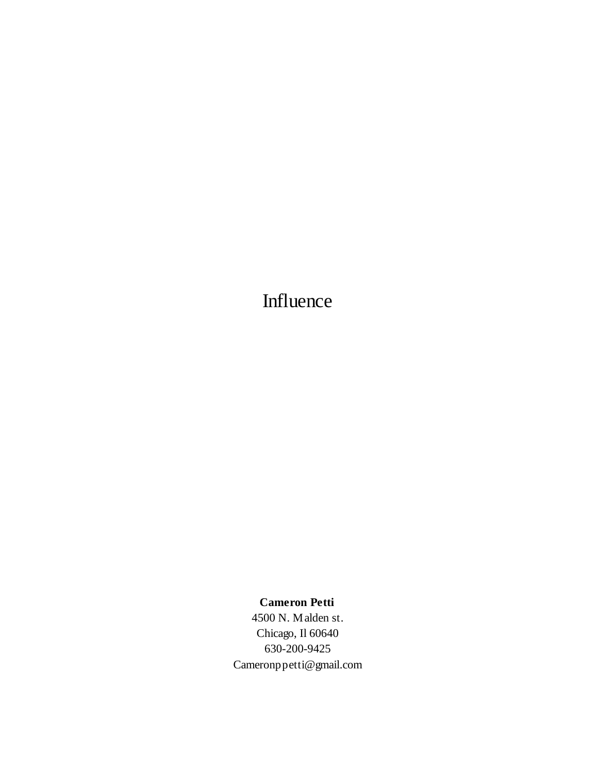Influence

**Cameron Petti**

4500 N. Malden st. Chicago, Il 60640 630-200-9425 Cameronppetti@gmail.com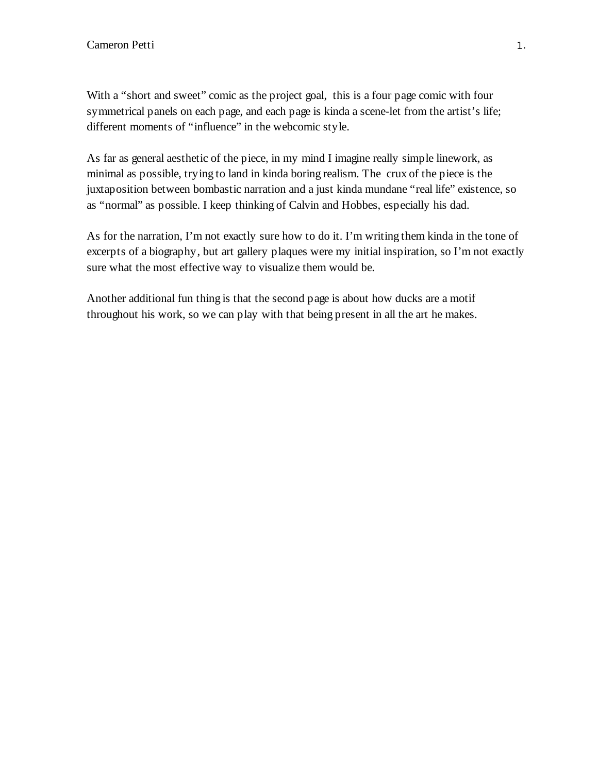With a "short and sweet" comic as the project goal, this is a four page comic with four symmetrical panels on each page, and each page is kinda a scene-let from the artist's life; different moments of "influence" in the webcomic style.

As far as general aesthetic of the piece, in my mind I imagine really simple linework, as minimal as possible, trying to land in kinda boring realism. The crux of the piece is the juxtaposition between bombastic narration and a just kinda mundane "real life" existence, so as "normal" as possible. I keep thinking of Calvin and Hobbes, especially his dad.

As for the narration, I'm not exactly sure how to do it. I'm writing them kinda in the tone of excerpts of a biography, but art gallery plaques were my initial inspiration, so I'm not exactly sure what the most effective way to visualize them would be.

Another additional fun thing is that the second page is about how ducks are a motif throughout his work, so we can play with that being present in all the art he makes.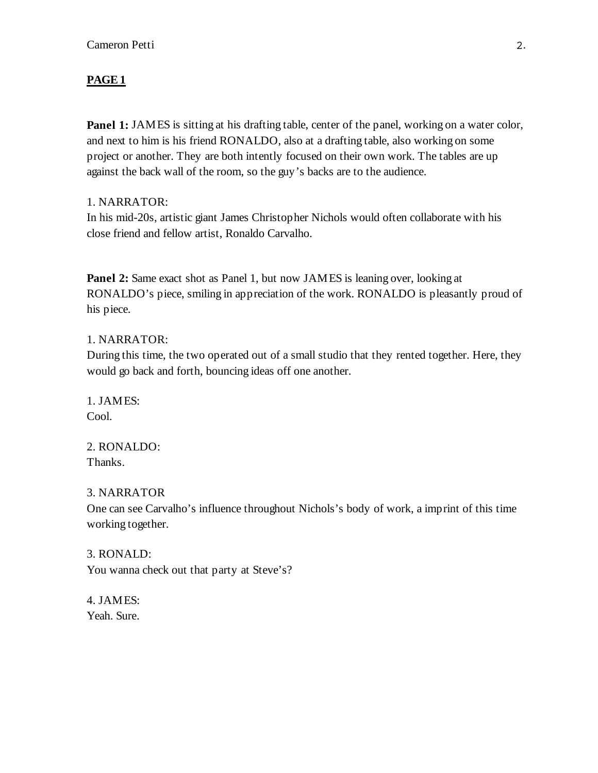**Panel 1:** JAMES is sitting at his drafting table, center of the panel, working on a water color, and next to him is his friend RONALDO, also at a drafting table, also working on some project or another. They are both intently focused on their own work. The tables are up against the back wall of the room, so the guy's backs are to the audience.

# 1. NARRATOR:

In his mid-20s, artistic giant James Christopher Nichols would often collaborate with his close friend and fellow artist, Ronaldo Carvalho.

**Panel 2:** Same exact shot as Panel 1, but now JAMES is leaning over, looking at RONALDO's piece, smiling in appreciation of the work. RONALDO is pleasantly proud of his piece.

# 1. NARRATOR:

During this time, the two operated out of a small studio that they rented together. Here, they would go back and forth, bouncing ideas off one another.

1. JAMES: Cool.

2. RONALDO: Thanks.

### 3. NARRATOR

One can see Carvalho's influence throughout Nichols's body of work, a imprint of this time working together.

3. RONALD: You wanna check out that party at Steve's?

4. JAMES: Yeah. Sure.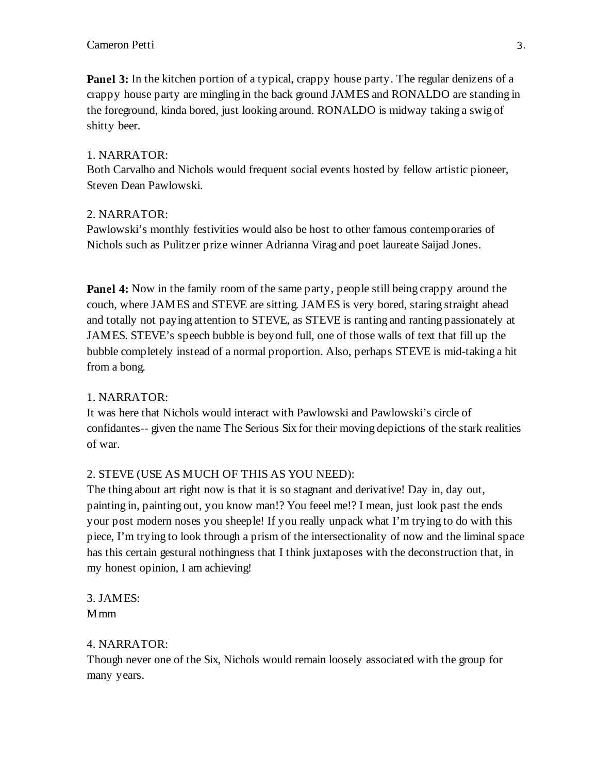**Panel 3:** In the kitchen portion of a typical, crappy house party. The regular denizens of a crappy house party are mingling in the back ground JAMES and RONALDO are standing in the foreground, kinda bored, just looking around. RONALDO is midway taking a swig of shitty beer.

## 1. NARRATOR:

Both Carvalho and Nichols would frequent social events hosted by fellow artistic pioneer, Steven Dean Pawlowski.

# 2. NARRATOR:

Pawlowski's monthly festivities would also be host to other famous contemporaries of Nichols such as Pulitzer prize winner Adrianna Virag and poet laureate Saijad Jones.

**Panel 4:** Now in the family room of the same party, people still being crappy around the couch, where JAMES and STEVE are sitting. JAMES is very bored, staring straight ahead and totally not paying attention to STEVE, as STEVE is ranting and ranting passionately at JAMES. STEVE's speech bubble is beyond full, one of those walls of text that fill up the bubble completely instead of a normal proportion. Also, perhaps STEVE is mid-taking a hit from a bong.

# 1. NARRATOR:

It was here that Nichols would interact with Pawlowski and Pawlowski's circle of confidantes-- given the name The Serious Six for their moving depictions of the stark realities of war.

# 2. STEVE (USE AS MUCH OF THIS AS YOU NEED):

The thing about art right now is that it is so stagnant and derivative! Day in, day out, painting in, painting out, you know man!? You feeel me!? I mean, just look past the ends your post modern noses you sheeple! If you really unpack what I'm trying to do with this piece, I'm trying to look through a prism of the intersectionality of now and the liminal space has this certain gestural nothingness that I think juxtaposes with the deconstruction that, in my honest opinion, I am achieving!

3. JAMES: Mmm

### 4. NARRATOR:

Though never one of the Six, Nichols would remain loosely associated with the group for many years.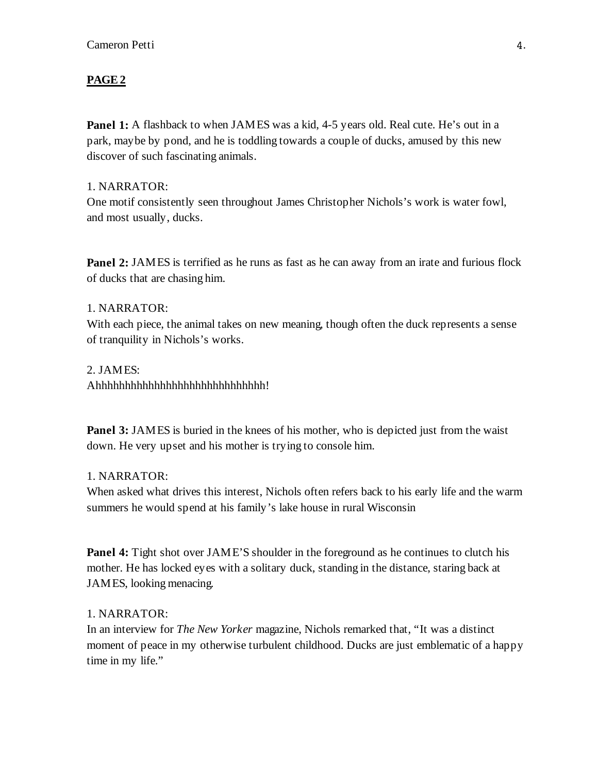Panel 1: A flashback to when JAMES was a kid, 4-5 years old. Real cute. He's out in a park, maybe by pond, and he is toddling towards a couple of ducks, amused by this new discover of such fascinating animals.

### 1. NARRATOR:

One motif consistently seen throughout James Christopher Nichols's work is water fowl, and most usually, ducks.

**Panel 2: JAMES** is terrified as he runs as fast as he can away from an irate and furious flock of ducks that are chasing him.

#### 1. NARRATOR:

With each piece, the animal takes on new meaning, though often the duck represents a sense of tranquility in Nichols's works.

2. JAMES: Ahhhhhhhhhhhhhhhhhhhhhhhhhhhhh!

**Panel 3:** JAMES is buried in the knees of his mother, who is depicted just from the waist down. He very upset and his mother is trying to console him.

#### 1. NARRATOR:

When asked what drives this interest, Nichols often refers back to his early life and the warm summers he would spend at his family's lake house in rural Wisconsin

**Panel 4:** Tight shot over JAME'S shoulder in the foreground as he continues to clutch his mother. He has locked eyes with a solitary duck, standing in the distance, staring back at JAMES, looking menacing.

#### 1. NARRATOR:

In an interview for *The New Yorker* magazine, Nichols remarked that, "It was a distinct moment of peace in my otherwise turbulent childhood. Ducks are just emblematic of a happy time in my life."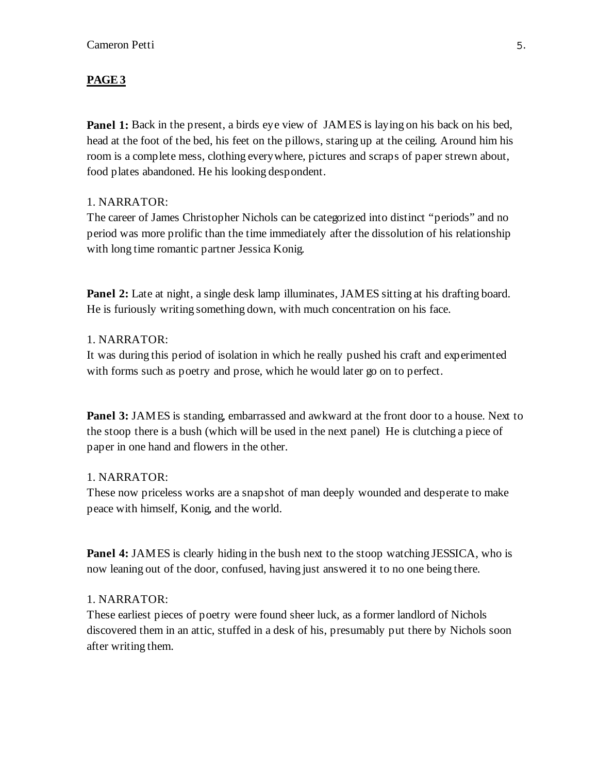**Panel 1:** Back in the present, a birds eye view of JAMES is laying on his back on his bed, head at the foot of the bed, his feet on the pillows, staring up at the ceiling. Around him his room is a complete mess, clothing everywhere, pictures and scraps of paper strewn about, food plates abandoned. He his looking despondent.

# 1. NARRATOR:

The career of James Christopher Nichols can be categorized into distinct "periods" and no period was more prolific than the time immediately after the dissolution of his relationship with long time romantic partner Jessica Konig.

**Panel 2:** Late at night, a single desk lamp illuminates, JAMES sitting at his drafting board. He is furiously writing something down, with much concentration on his face.

## 1. NARRATOR:

It was during this period of isolation in which he really pushed his craft and experimented with forms such as poetry and prose, which he would later go on to perfect.

**Panel 3:** JAMES is standing, embarrassed and awkward at the front door to a house. Next to the stoop there is a bush (which will be used in the next panel) He is clutching a piece of paper in one hand and flowers in the other.

#### 1. NARRATOR:

These now priceless works are a snapshot of man deeply wounded and desperate to make peace with himself, Konig, and the world.

**Panel 4:** JAMES is clearly hiding in the bush next to the stoop watching JESSICA, who is now leaning out of the door, confused, having just answered it to no one being there.

#### 1. NARRATOR:

These earliest pieces of poetry were found sheer luck, as a former landlord of Nichols discovered them in an attic, stuffed in a desk of his, presumably put there by Nichols soon after writing them.